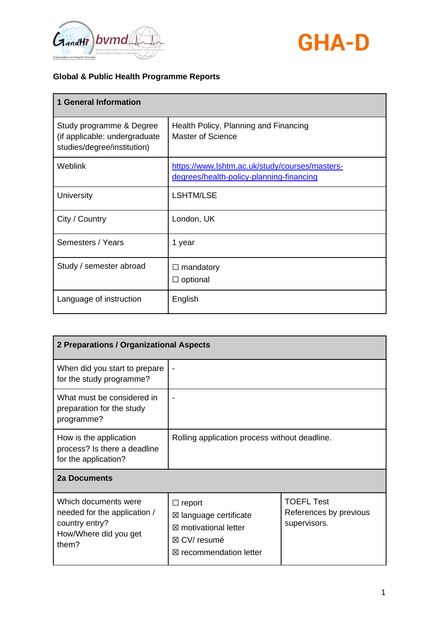



| <b>1 General Information</b>                                                             |                                                                                            |
|------------------------------------------------------------------------------------------|--------------------------------------------------------------------------------------------|
| Study programme & Degree<br>(if applicable: undergraduate<br>studies/degree/institution) | Health Policy, Planning and Financing<br>Master of Science                                 |
| Weblink                                                                                  | https://www.lshtm.ac.uk/study/courses/masters-<br>degrees/health-policy-planning-financing |
| University                                                                               | <b>LSHTM/LSE</b>                                                                           |
| City / Country                                                                           | London, UK                                                                                 |
| Semesters / Years                                                                        | 1 year                                                                                     |
| Study / semester abroad                                                                  | $\Box$ mandatory<br>$\Box$ optional                                                        |
| Language of instruction                                                                  | English                                                                                    |

| 2 Preparations / Organizational Aspects                                                                  |                                                                                                                                           |                                                             |
|----------------------------------------------------------------------------------------------------------|-------------------------------------------------------------------------------------------------------------------------------------------|-------------------------------------------------------------|
| When did you start to prepare<br>for the study programme?                                                |                                                                                                                                           |                                                             |
| What must be considered in<br>preparation for the study<br>programme?                                    |                                                                                                                                           |                                                             |
| How is the application<br>process? Is there a deadline<br>for the application?                           | Rolling application process without deadline.                                                                                             |                                                             |
| <b>2a Documents</b>                                                                                      |                                                                                                                                           |                                                             |
| Which documents were<br>needed for the application /<br>country entry?<br>How/Where did you get<br>them? | $\Box$ report<br>$\boxtimes$ language certificate<br>⊠ motivational letter<br>$\boxtimes$ CV/ resumé<br>$\boxtimes$ recommendation letter | <b>TOEFL Test</b><br>References by previous<br>supervisors. |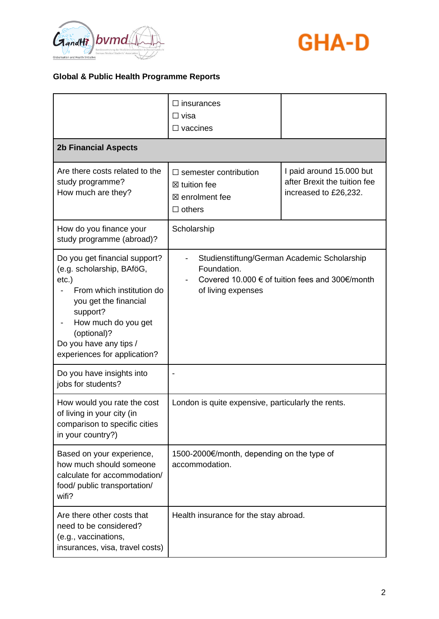



|                                                                                                                                                                                                                                          | $\Box$ insurances<br>$\Box$ visa<br>$\Box$ vaccines                                         |                                                                                                |
|------------------------------------------------------------------------------------------------------------------------------------------------------------------------------------------------------------------------------------------|---------------------------------------------------------------------------------------------|------------------------------------------------------------------------------------------------|
| <b>2b Financial Aspects</b>                                                                                                                                                                                                              |                                                                                             |                                                                                                |
| Are there costs related to the<br>study programme?<br>How much are they?                                                                                                                                                                 | $\Box$ semester contribution<br>$\boxtimes$ tuition fee<br>⊠ enrolment fee<br>$\Box$ others | I paid around 15.000 but<br>after Brexit the tuition fee<br>increased to £26,232.              |
| How do you finance your<br>study programme (abroad)?                                                                                                                                                                                     | Scholarship                                                                                 |                                                                                                |
| Do you get financial support?<br>(e.g. scholarship, BAföG,<br>$etc.$ )<br>From which institution do<br>you get the financial<br>support?<br>How much do you get<br>(optional)?<br>Do you have any tips /<br>experiences for application? | Foundation.<br>of living expenses                                                           | Studienstiftung/German Academic Scholarship<br>Covered 10.000 € of tuition fees and 300€/month |
| Do you have insights into<br>jobs for students?                                                                                                                                                                                          |                                                                                             |                                                                                                |
| How would you rate the cost<br>of living in your city (in<br>comparison to specific cities<br>in your country?)                                                                                                                          | London is quite expensive, particularly the rents.                                          |                                                                                                |
| Based on your experience,<br>how much should someone<br>calculate for accommodation/<br>food/ public transportation/<br>wifi?                                                                                                            | 1500-2000€/month, depending on the type of<br>accommodation.                                |                                                                                                |
| Are there other costs that<br>need to be considered?<br>(e.g., vaccinations,<br>insurances, visa, travel costs)                                                                                                                          | Health insurance for the stay abroad.                                                       |                                                                                                |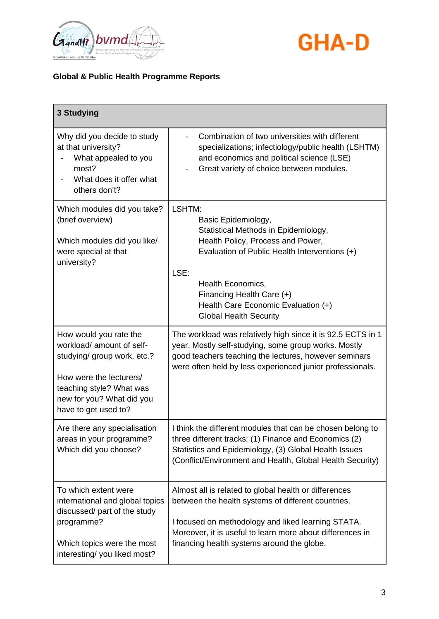



| 3 Studying                                                                                                                                                                                     |                                                                                                                                                                                                                                                                              |
|------------------------------------------------------------------------------------------------------------------------------------------------------------------------------------------------|------------------------------------------------------------------------------------------------------------------------------------------------------------------------------------------------------------------------------------------------------------------------------|
| Why did you decide to study<br>at that university?<br>What appealed to you<br>most?<br>What does it offer what<br>others don't?                                                                | Combination of two universities with different<br>specializations; infectiology/public health (LSHTM)<br>and economics and political science (LSE)<br>Great variety of choice between modules.                                                                               |
| Which modules did you take?<br>(brief overview)<br>Which modules did you like/<br>were special at that<br>university?                                                                          | LSHTM:<br>Basic Epidemiology,<br>Statistical Methods in Epidemiology,<br>Health Policy, Process and Power,<br>Evaluation of Public Health Interventions (+)                                                                                                                  |
|                                                                                                                                                                                                | LSE:<br><b>Health Economics,</b><br>Financing Health Care (+)<br>Health Care Economic Evaluation (+)<br><b>Global Health Security</b>                                                                                                                                        |
| How would you rate the<br>workload/ amount of self-<br>studying/ group work, etc.?<br>How were the lecturers/<br>teaching style? What was<br>new for you? What did you<br>have to get used to? | The workload was relatively high since it is 92.5 ECTS in 1<br>year. Mostly self-studying, some group works. Mostly<br>good teachers teaching the lectures, however seminars<br>were often held by less experienced junior professionals.                                    |
| Are there any specialisation<br>areas in your programme?<br>Which did you choose?                                                                                                              | I think the different modules that can be chosen belong to<br>three different tracks: (1) Finance and Economics (2)<br>Statistics and Epidemiology, (3) Global Health Issues<br>(Conflict/Environment and Health, Global Health Security)                                    |
| To which extent were<br>international and global topics<br>discussed/ part of the study<br>programme?<br>Which topics were the most<br>interesting/you liked most?                             | Almost all is related to global health or differences<br>between the health systems of different countries.<br>I focused on methodology and liked learning STATA.<br>Moreover, it is useful to learn more about differences in<br>financing health systems around the globe. |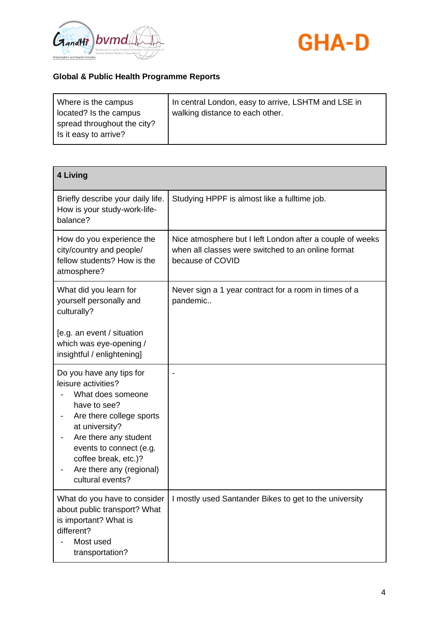



| Where is the campus                                  | In central London, easy to arrive, LSHTM and LSE in |
|------------------------------------------------------|-----------------------------------------------------|
| located? Is the campus                               | walking distance to each other.                     |
| spread throughout the city?<br>Is it easy to arrive? |                                                     |

| <b>4 Living</b>                                                                                                                                                                                                                                                |                                                                                                                                     |
|----------------------------------------------------------------------------------------------------------------------------------------------------------------------------------------------------------------------------------------------------------------|-------------------------------------------------------------------------------------------------------------------------------------|
| Briefly describe your daily life.<br>How is your study-work-life-<br>balance?                                                                                                                                                                                  | Studying HPPF is almost like a fulltime job.                                                                                        |
| How do you experience the<br>city/country and people/<br>fellow students? How is the<br>atmosphere?                                                                                                                                                            | Nice atmosphere but I left London after a couple of weeks<br>when all classes were switched to an online format<br>because of COVID |
| What did you learn for<br>yourself personally and<br>culturally?<br>[e.g. an event / situation<br>which was eye-opening /<br>insightful / enlightening]                                                                                                        | Never sign a 1 year contract for a room in times of a<br>pandemic                                                                   |
| Do you have any tips for<br>leisure activities?<br>What does someone<br>have to see?<br>Are there college sports<br>at university?<br>Are there any student<br>events to connect (e.g.<br>coffee break, etc.)?<br>Are there any (regional)<br>cultural events? |                                                                                                                                     |
| What do you have to consider<br>about public transport? What<br>is important? What is<br>different?<br>Most used<br>transportation?                                                                                                                            | I mostly used Santander Bikes to get to the university                                                                              |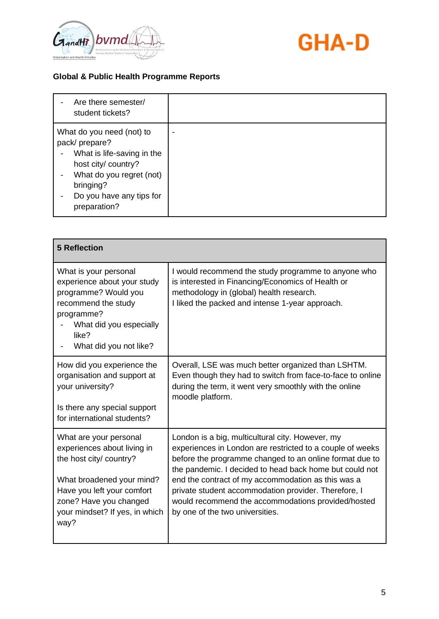



| Are there semester/<br>student tickets?                                                                                                                                              |  |
|--------------------------------------------------------------------------------------------------------------------------------------------------------------------------------------|--|
| What do you need (not) to<br>pack/prepare?<br>What is life-saving in the<br>host city/ country?<br>What do you regret (not)<br>bringing?<br>Do you have any tips for<br>preparation? |  |

| <b>5 Reflection</b>                                                                                                                                                                                             |                                                                                                                                                                                                                                                                                                                                                                                                                                            |
|-----------------------------------------------------------------------------------------------------------------------------------------------------------------------------------------------------------------|--------------------------------------------------------------------------------------------------------------------------------------------------------------------------------------------------------------------------------------------------------------------------------------------------------------------------------------------------------------------------------------------------------------------------------------------|
| What is your personal<br>experience about your study<br>programme? Would you<br>recommend the study<br>programme?<br>What did you especially<br>like?<br>What did you not like?                                 | I would recommend the study programme to anyone who<br>is interested in Financing/Economics of Health or<br>methodology in (global) health research.<br>I liked the packed and intense 1-year approach.                                                                                                                                                                                                                                    |
| How did you experience the<br>organisation and support at<br>your university?<br>Is there any special support<br>for international students?                                                                    | Overall, LSE was much better organized than LSHTM.<br>Even though they had to switch from face-to-face to online<br>during the term, it went very smoothly with the online<br>moodle platform.                                                                                                                                                                                                                                             |
| What are your personal<br>experiences about living in<br>the host city/ country?<br>What broadened your mind?<br>Have you left your comfort<br>zone? Have you changed<br>your mindset? If yes, in which<br>way? | London is a big, multicultural city. However, my<br>experiences in London are restricted to a couple of weeks<br>before the programme changed to an online format due to<br>the pandemic. I decided to head back home but could not<br>end the contract of my accommodation as this was a<br>private student accommodation provider. Therefore, I<br>would recommend the accommodations provided/hosted<br>by one of the two universities. |